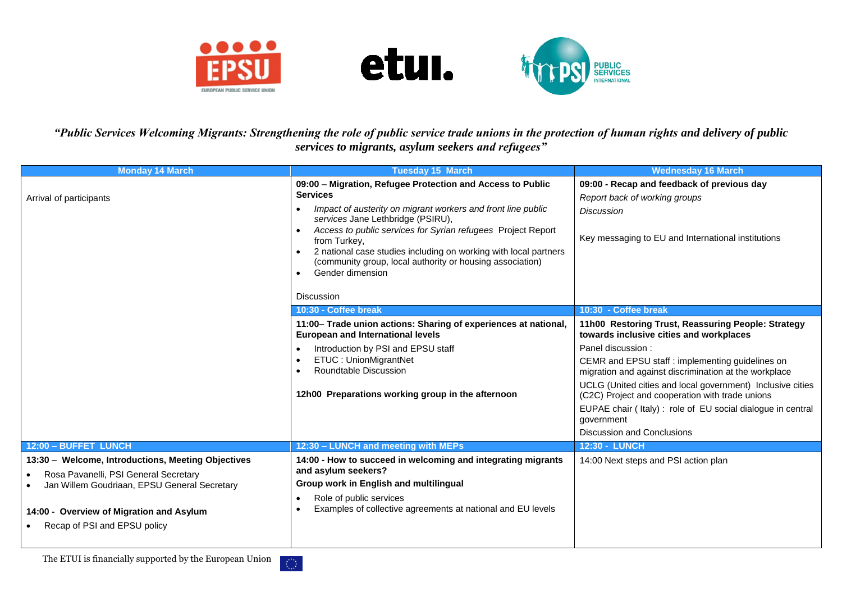





*"Public Services Welcoming Migrants: Strengthening the role of public service trade unions in the protection of human rights and delivery of public services to migrants, asylum seekers and refugees"*

| <b>Monday 14 March</b>                                                                                                                                                                                                  | <b>Tuesday 15 March</b>                                                                                                                                                                                                                                                                                                                                                                                                                                   | <b>Wednesday 16 March</b>                                                                                                                                                                                                                                                                                                                                                                                                                                         |
|-------------------------------------------------------------------------------------------------------------------------------------------------------------------------------------------------------------------------|-----------------------------------------------------------------------------------------------------------------------------------------------------------------------------------------------------------------------------------------------------------------------------------------------------------------------------------------------------------------------------------------------------------------------------------------------------------|-------------------------------------------------------------------------------------------------------------------------------------------------------------------------------------------------------------------------------------------------------------------------------------------------------------------------------------------------------------------------------------------------------------------------------------------------------------------|
| Arrival of participants                                                                                                                                                                                                 | 09:00 - Migration, Refugee Protection and Access to Public<br><b>Services</b><br>Impact of austerity on migrant workers and front line public<br>services Jane Lethbridge (PSIRU),<br>Access to public services for Syrian refugees Project Report<br>from Turkey,<br>2 national case studies including on working with local partners<br>(community group, local authority or housing association)<br>Gender dimension<br>$\bullet$<br><b>Discussion</b> | 09:00 - Recap and feedback of previous day<br>Report back of working groups<br><b>Discussion</b><br>Key messaging to EU and International institutions                                                                                                                                                                                                                                                                                                            |
|                                                                                                                                                                                                                         | 10:30 - Coffee break                                                                                                                                                                                                                                                                                                                                                                                                                                      | 10:30 - Coffee break                                                                                                                                                                                                                                                                                                                                                                                                                                              |
|                                                                                                                                                                                                                         | 11:00- Trade union actions: Sharing of experiences at national,<br><b>European and International levels</b><br>Introduction by PSI and EPSU staff<br>ETUC: UnionMigrantNet<br>Roundtable Discussion<br>12h00 Preparations working group in the afternoon                                                                                                                                                                                                  | 11h00 Restoring Trust, Reassuring People: Strategy<br>towards inclusive cities and workplaces<br>Panel discussion:<br>CEMR and EPSU staff : implementing guidelines on<br>migration and against discrimination at the workplace<br>UCLG (United cities and local government) Inclusive cities<br>(C2C) Project and cooperation with trade unions<br>EUPAE chair (Italy): role of EU social dialogue in central<br>government<br><b>Discussion and Conclusions</b> |
| 12:00 - BUFFET LUNCH                                                                                                                                                                                                    | 12:30 - LUNCH and meeting with MEPs                                                                                                                                                                                                                                                                                                                                                                                                                       | <b>12:30 - LUNCH</b>                                                                                                                                                                                                                                                                                                                                                                                                                                              |
| 13:30 - Welcome, Introductions, Meeting Objectives<br>Rosa Pavanelli, PSI General Secretary<br>Jan Willem Goudriaan, EPSU General Secretary<br>14:00 - Overview of Migration and Asylum<br>Recap of PSI and EPSU policy | 14:00 - How to succeed in welcoming and integrating migrants<br>and asylum seekers?<br>Group work in English and multilingual<br>Role of public services<br>Examples of collective agreements at national and EU levels                                                                                                                                                                                                                                   | 14:00 Next steps and PSI action plan                                                                                                                                                                                                                                                                                                                                                                                                                              |